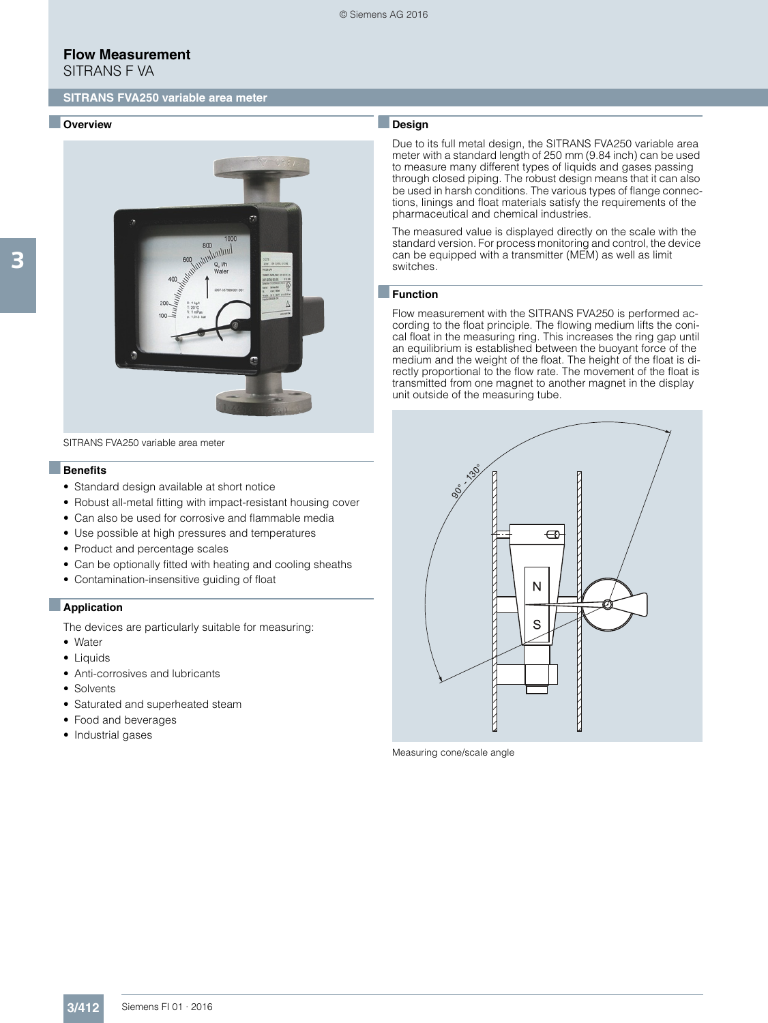SITRANS F VA

#### ■ **Overview**



SITRANS FVA250 variable area meter

#### ■**Benefits**

- Standard design available at short notice
- Robust all-metal fitting with impact-resistant housing cover
- Can also be used for corrosive and flammable media
- Use possible at high pressures and temperatures
- Product and percentage scales
- Can be optionally fitted with heating and cooling sheaths
- Contamination-insensitive guiding of float

#### ■**Application**

The devices are particularly suitable for measuring:

- Water
- Liquids
- Anti-corrosives and lubricants
- Solvents
- Saturated and superheated steam
- Food and beverages
- Industrial gases

### ■**Design**

Due to its full metal design, the SITRANS FVA250 variable area meter with a standard length of 250 mm (9.84 inch) can be used to measure many different types of liquids and gases passing through closed piping. The robust design means that it can also be used in harsh conditions. The various types of flange connections, linings and float materials satisfy the requirements of the pharmaceutical and chemical industries.

The measured value is displayed directly on the scale with the standard version. For process monitoring and control, the device can be equipped with a transmitter (MEM) as well as limit switches.

#### ■**Function**

Flow measurement with the SITRANS FVA250 is performed according to the float principle. The flowing medium lifts the conical float in the measuring ring. This increases the ring gap until an equilibrium is established between the buoyant force of the medium and the weight of the float. The height of the float is directly proportional to the flow rate. The movement of the float is transmitted from one magnet to another magnet in the display unit outside of the measuring tube.



Measuring cone/scale angle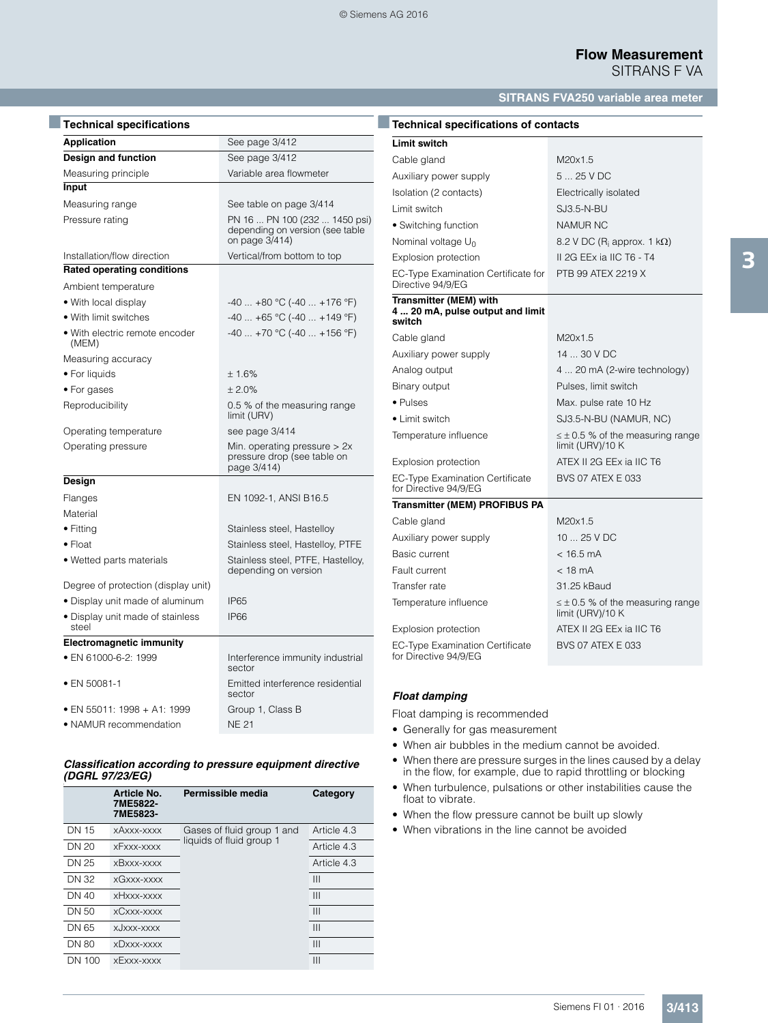### **SITRANS FVA250 variable area meter**

| <b>Technical specifications</b>           |                                                                                    |
|-------------------------------------------|------------------------------------------------------------------------------------|
| <b>Application</b>                        | See page 3/412                                                                     |
| Design and function                       | See page 3/412                                                                     |
| Measuring principle                       | Variable area flowmeter                                                            |
| Input                                     |                                                                                    |
| Measuring range                           | See table on page 3/414                                                            |
| Pressure rating                           | PN 16  PN 100 (232  1450 psi)<br>depending on version (see table<br>on page 3/414) |
| Installation/flow direction               | Vertical/from bottom to top                                                        |
| <b>Rated operating conditions</b>         |                                                                                    |
| Ambient temperature                       |                                                                                    |
| • With local display                      | $-40+80$ °C (-40  +176 °F)                                                         |
| • With limit switches                     | $-40 +65$ °C ( $-40 +149$ °F)                                                      |
| • With electric remote encoder<br>(MEM)   | $-40 +70$ °C ( $-40 +156$ °F)                                                      |
| Measuring accuracy                        |                                                                                    |
| • For liquids                             | ± 1.6%                                                                             |
| • For gases                               | $+2.0%$                                                                            |
| Reproducibility                           | 0.5 % of the measuring range<br>limit (URV)                                        |
| Operating temperature                     | see page 3/414                                                                     |
| Operating pressure                        | Min. operating pressure $> 2x$<br>pressure drop (see table on<br>page 3/414)       |
| Design                                    |                                                                                    |
| Flanges                                   | EN 1092-1, ANSI B16.5                                                              |
| Material                                  |                                                                                    |
| $\bullet$ Fitting                         | Stainless steel, Hastelloy                                                         |
| $\bullet$ Float                           | Stainless steel, Hastelloy, PTFE                                                   |
| • Wetted parts materials                  | Stainless steel, PTFE, Hastelloy,<br>depending on version                          |
| Degree of protection (display unit)       |                                                                                    |
| • Display unit made of aluminum           | <b>IP65</b>                                                                        |
| • Display unit made of stainless<br>steel | <b>IP66</b>                                                                        |
| <b>Electromagnetic immunity</b>           |                                                                                    |
| • EN 61000-6-2: 1999                      | Interference immunity industrial<br>sector                                         |
| • EN 50081-1                              | Emitted interference residential<br>sector                                         |
| • EN 55011: 1998 + A1: 1999               | Group 1, Class B                                                                   |
| • NAMUR recommendation                    | <b>NE 21</b>                                                                       |

#### *Classification according to pressure equipment directive (DGRL 97/23/EG)* )

|              | Article No.<br>7ME5822-<br>7ME5823- | Permissible media          | Category    |
|--------------|-------------------------------------|----------------------------|-------------|
| <b>DN 15</b> | xAxxx-xxxx                          | Gases of fluid group 1 and | Article 4.3 |
| DN 20        | xFxxx-xxxx                          | liquids of fluid group 1   | Article 4.3 |
| DN 25        | xBxxx-xxxx                          |                            | Article 4.3 |
| DN 32        | xGxxx-xxxx                          |                            | Ш           |
| DN 40        | xHxxx-xxxx                          |                            | Ш           |
| DN 50        | xCxxx-xxxx                          |                            | Ш           |
| DN 65        | xJxxx-xxxx                          |                            | Ш           |
| <b>DN 80</b> | XDXXX-XXXX                          |                            | Ш           |
| DN 100       | xExxx-xxxx                          |                            | Ш           |

| <b>Technical specifications of contacts</b>                                |                                                             |
|----------------------------------------------------------------------------|-------------------------------------------------------------|
| <b>Limit switch</b>                                                        |                                                             |
| Cable gland                                                                | M20x1.5                                                     |
| Auxiliary power supply                                                     | 5  25 V DC                                                  |
| Isolation (2 contacts)                                                     | Electrically isolated                                       |
| Limit switch                                                               | <b>SJ3.5-N-BU</b>                                           |
| • Switching function                                                       | <b>NAMUR NC</b>                                             |
| Nominal voltage $U_0$                                                      | 8.2 V DC ( $R_i$ approx. 1 $k\Omega$ )                      |
| <b>Explosion protection</b>                                                | II 2G EEx ia IIC T6 - T4                                    |
| EC-Type Examination Certificate for<br>Directive 94/9/EG                   | PTB 99 ATEX 2219 X                                          |
| <b>Transmitter (MEM) with</b><br>4 20 mA, pulse output and limit<br>switch |                                                             |
| Cable gland                                                                | M20x1.5                                                     |
| Auxiliary power supply                                                     | 14  30 V DC                                                 |
| Analog output                                                              | 4  20 mA (2-wire technology)                                |
| Binary output                                                              | Pulses, limit switch                                        |
| • Pulses                                                                   | Max. pulse rate 10 Hz                                       |
| $\bullet$ Limit switch                                                     | SJ3.5-N-BU (NAMUR, NC)                                      |
| Temperature influence                                                      | $\leq \pm 0.5$ % of the measuring range<br>limit (URV)/10 K |
| <b>Explosion protection</b>                                                | ATEX II 2G EEx ia IIC T6                                    |
| EC-Type Examination Certificate<br>for Directive 94/9/EG                   | <b>BVS 07 ATEX E 033</b>                                    |
| <b>Transmitter (MEM) PROFIBUS PA</b>                                       |                                                             |
| Cable gland                                                                | M20x1.5                                                     |
| Auxiliary power supply                                                     | $1025$ V DC                                                 |
| <b>Basic current</b>                                                       | $< 16.5$ mA                                                 |
| Fault current                                                              | $<$ 18 mA                                                   |
| Transfer rate                                                              | 31.25 kBaud                                                 |
| Temperature influence                                                      | $\leq \pm 0.5$ % of the measuring range<br>limit (URV)/10 K |
| Explosion protection                                                       | ATEX II 2G EEx ia IIC T6                                    |
| EC-Type Examination Certificate<br>for Directive 94/9/EG                   | BVS 07 ATEX E 033                                           |

### *Float damping*

Float damping is recommended

- Generally for gas measurement
- When air bubbles in the medium cannot be avoided.
- When there are pressure surges in the lines caused by a delay in the flow, for example, due to rapid throttling or blocking
- When turbulence, pulsations or other instabilities cause the float to vibrate.
- When the flow pressure cannot be built up slowly
- When vibrations in the line cannot be avoided

3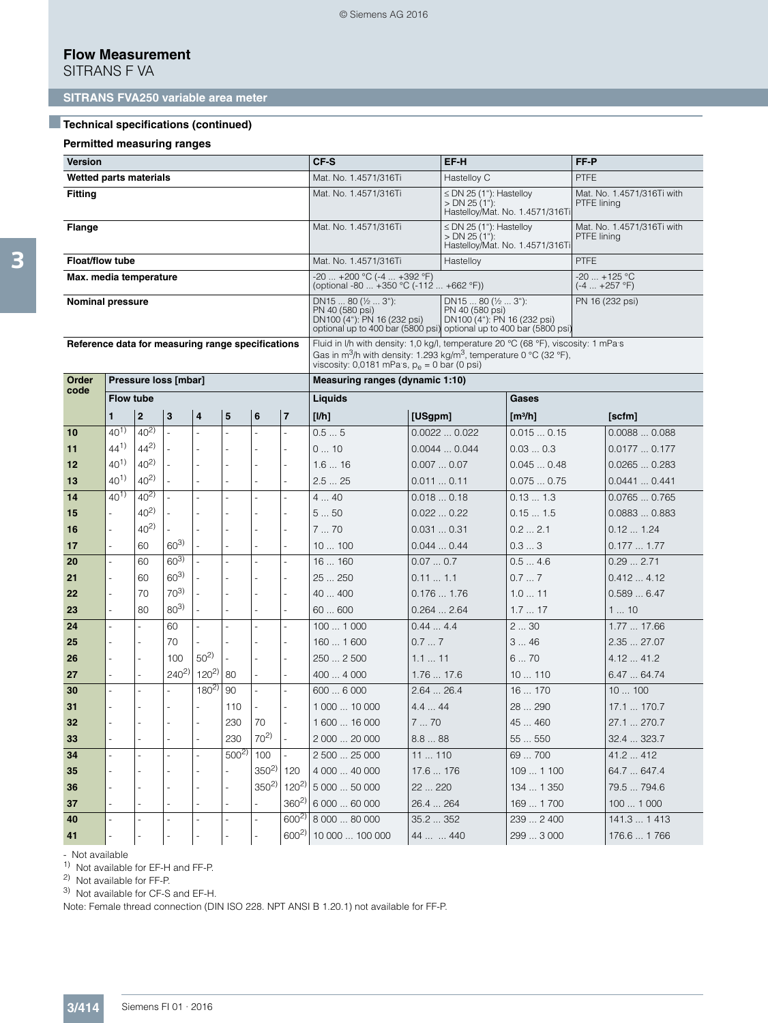SITRANS F VA

## ■**Technical specifications (continued)**

### **Permitted measuring ranges**

| <b>Version</b>                                    |                  |                     |                      |                                                                                                                                                                                                                                    |           |                                                                                 |                             | CF-S                                                                  |                 | EF-H<br>FF-P                                                                       |                                                                 |             |                                           |  |
|---------------------------------------------------|------------------|---------------------|----------------------|------------------------------------------------------------------------------------------------------------------------------------------------------------------------------------------------------------------------------------|-----------|---------------------------------------------------------------------------------|-----------------------------|-----------------------------------------------------------------------|-----------------|------------------------------------------------------------------------------------|-----------------------------------------------------------------|-------------|-------------------------------------------|--|
| Wetted parts materials                            |                  |                     |                      |                                                                                                                                                                                                                                    |           |                                                                                 |                             | Mat. No. 1.4571/316Ti                                                 |                 | Hastelloy C                                                                        |                                                                 | <b>PTFE</b> |                                           |  |
| <b>Fitting</b>                                    |                  |                     |                      |                                                                                                                                                                                                                                    |           |                                                                                 |                             | Mat. No. 1.4571/316Ti                                                 |                 | $> DN$ 25 (1"):                                                                    | $\leq$ DN 25 (1"): Hastelloy<br>Hastelloy/Mat. No. 1.4571/316Ti |             | Mat. No. 1.4571/316Ti with<br>PTFE lining |  |
| Flange                                            |                  |                     |                      |                                                                                                                                                                                                                                    |           |                                                                                 |                             | Mat. No. 1.4571/316Ti                                                 |                 | $\leq$ DN 25 (1"): Hastelloy<br>$> DN$ 25 (1"):<br>Hastelloy/Mat. No. 1.4571/316Ti |                                                                 |             | Mat. No. 1.4571/316Ti with<br>PTFE lining |  |
| <b>Float/flow tube</b>                            |                  |                     |                      |                                                                                                                                                                                                                                    |           |                                                                                 |                             | Mat. No. 1.4571/316Ti                                                 |                 | Hastelloy                                                                          |                                                                 | <b>PTFE</b> |                                           |  |
| Max. media temperature                            |                  |                     |                      |                                                                                                                                                                                                                                    |           |                                                                                 |                             | -20  +200 °C (-4  +392 °F)<br>(optional -80  +350 °C (-112  +662 °F)) |                 |                                                                                    |                                                                 |             | $-20$ +125 °C<br>(-4  +257 °F)            |  |
| <b>Nominal pressure</b>                           |                  |                     |                      | DN15  80 ( $\frac{1}{2}$ 3"):<br>PN 40 (580 psi)<br>DN100 (4"): PN 16 (232 psi)<br>optional up to 400 bar (5800 psi) optional up to 400 bar (5800 psi)                                                                             |           | DN15  80 ( $\frac{1}{2}$ 3"):<br>PN 40 (580 psi)<br>DN100 (4"): PN 16 (232 psi) |                             |                                                                       | PN 16 (232 psi) |                                                                                    |                                                                 |             |                                           |  |
| Reference data for measuring range specifications |                  |                     |                      | Fluid in I/h with density: 1,0 kg/l, temperature 20 °C (68 °F), viscosity: 1 mPa s<br>Gas in m <sup>3</sup> /h with density: 1.293 kg/m <sup>3</sup> , temperature 0 °C (32 °F),<br>viscosity: 0,0181 mPa s, $p_e = 0$ bar (0 psi) |           |                                                                                 |                             |                                                                       |                 |                                                                                    |                                                                 |             |                                           |  |
| Order                                             |                  |                     | Pressure loss [mbar] |                                                                                                                                                                                                                                    |           |                                                                                 |                             | Measuring ranges (dynamic 1:10)                                       |                 |                                                                                    |                                                                 |             |                                           |  |
| code                                              | <b>Flow tube</b> |                     |                      |                                                                                                                                                                                                                                    |           |                                                                                 |                             | Liquids                                                               |                 |                                                                                    | Gases                                                           |             |                                           |  |
|                                                   | 1                | $\mathbf 2$         | 3                    | 4                                                                                                                                                                                                                                  | 5         | 6                                                                               | $\overline{7}$              | [1/h]                                                                 | [USgpm]         |                                                                                    | $\lceil m^3/h \rceil$                                           |             | [scfm]                                    |  |
| 10                                                | $40^{1}$         | $\overline{40^{2}}$ | ÷.                   |                                                                                                                                                                                                                                    |           | L.                                                                              | L.                          | 0.55                                                                  |                 | 0.00220.022                                                                        | 0.0150.15                                                       |             | 0.00880.088                               |  |
| 11                                                | $44^{1}$         | $44^{2}$            |                      |                                                                                                                                                                                                                                    |           |                                                                                 | $\equiv$                    | 010                                                                   |                 | 0.00440.044                                                                        | 0.030.3                                                         |             | 0.01770.177                               |  |
| 12                                                | $40^{1}$         | $40^{2}$            |                      |                                                                                                                                                                                                                                    |           |                                                                                 | ä,                          | 1.616                                                                 |                 | 0.0070.07                                                                          | 0.0450.48                                                       |             | 0.02650.283                               |  |
| 13                                                | $40^{1}$         | $40^{2}$            |                      | ÷.                                                                                                                                                                                                                                 |           |                                                                                 | L.                          | 2.525                                                                 | 0.0110.11       |                                                                                    | 0.0750.75                                                       |             | 0.04410.441                               |  |
| 14                                                | $40^{1}$         | $40^{2}$            |                      | ä,                                                                                                                                                                                                                                 |           | $\ddot{\phantom{1}}$                                                            | L.                          | 440                                                                   |                 | 0.0180.18                                                                          | 0.131.3                                                         |             | 0.07650.765                               |  |
| 15                                                |                  | $40^{2}$            |                      |                                                                                                                                                                                                                                    |           |                                                                                 | L,                          | 550                                                                   |                 | 0.0220.22                                                                          | 0.151.5                                                         |             | 0.08830.883                               |  |
| 16                                                |                  | $40^{2}$            |                      |                                                                                                                                                                                                                                    |           |                                                                                 | L.                          | 770                                                                   | 0.0310.31       |                                                                                    | 0.22.1                                                          |             | 0.121.24                                  |  |
| 17                                                | ä,               | 60                  | $60^{3}$             |                                                                                                                                                                                                                                    |           |                                                                                 | ÷.                          | 10100                                                                 |                 | 0.0440.44                                                                          | 0.33                                                            |             | 0.1771.77                                 |  |
| 20                                                | ä,               | 60                  | $60^{3}$             |                                                                                                                                                                                                                                    |           |                                                                                 | ÷,                          | 16160                                                                 | 0.070.7         |                                                                                    | 0.54.6                                                          |             | 0.292.71                                  |  |
| 21                                                |                  | 60                  | $60^{3}$             |                                                                                                                                                                                                                                    |           |                                                                                 |                             | 25  250                                                               | 0.111.1         |                                                                                    | 0.77                                                            |             | 0.4124.12                                 |  |
| 22                                                | $\sim$           | 70                  | $70^{3}$             |                                                                                                                                                                                                                                    |           |                                                                                 |                             | 40  400                                                               |                 | 0.1761.76                                                                          | 1.011                                                           |             | 0.5896.47                                 |  |
| 23                                                | ä,               | 80                  | $80^{3}$             |                                                                                                                                                                                                                                    |           |                                                                                 | L,                          | 60600                                                                 |                 | 0.2642.64                                                                          | 1.717                                                           |             | 110                                       |  |
| 24                                                | ä,               | ÷.                  | 60                   | ÷,                                                                                                                                                                                                                                 |           | ä,                                                                              | $\overline{a}$              | 1001000                                                               | 0.444.4         |                                                                                    | 230                                                             |             | 1.77  17.66                               |  |
| 25                                                |                  |                     | 70                   |                                                                                                                                                                                                                                    |           |                                                                                 |                             | 1601600                                                               | 0.77            |                                                                                    | 346                                                             |             | 2.35  27.07                               |  |
| 26                                                |                  |                     | 100                  | $50^{2}$                                                                                                                                                                                                                           |           |                                                                                 |                             | 250  2500                                                             | 1.111           |                                                                                    | 670                                                             |             | 4.12  41.2                                |  |
| 27                                                |                  | L.                  | $240^{2}$            | $120^{2}$                                                                                                                                                                                                                          | 80        | ÷,                                                                              | L.                          | 4004000                                                               | 1.7617.6        |                                                                                    | 10110                                                           |             | 6.4764.74                                 |  |
| 30                                                |                  |                     |                      | $180^{2}$                                                                                                                                                                                                                          | 90        | $\ddot{\phantom{1}}$                                                            | ÷.                          | 6006000                                                               | 2.6426.4        |                                                                                    | 16  170                                                         |             | 10100                                     |  |
| 31                                                |                  |                     |                      |                                                                                                                                                                                                                                    | 110       |                                                                                 |                             | 1 000  10 000                                                         | 4.444           |                                                                                    | 28  290                                                         |             | 17.1  170.7                               |  |
| 32                                                |                  |                     |                      |                                                                                                                                                                                                                                    | 230       | 70                                                                              |                             | 1600  16 000                                                          | 770             |                                                                                    | 45  460                                                         |             | 27.1  270.7                               |  |
| 33                                                |                  |                     |                      | L,                                                                                                                                                                                                                                 | 230       | $70^{2}$                                                                        | $\omega$                    | 2 000  20 000                                                         | 8.888           |                                                                                    | 55  550                                                         |             | 32.4  323.7                               |  |
| 34                                                |                  |                     |                      |                                                                                                                                                                                                                                    | $500^{2}$ | 100                                                                             |                             | 2 500  25 000                                                         | 11110           |                                                                                    | 69  700                                                         |             | 41.2  412                                 |  |
| 35                                                |                  |                     |                      |                                                                                                                                                                                                                                    |           | $350^{2}$                                                                       | 120                         | 4 000  40 000                                                         | 17.6  176       |                                                                                    | 109  1 100                                                      |             | 64.7  647.4                               |  |
| 36                                                |                  |                     |                      |                                                                                                                                                                                                                                    |           |                                                                                 | $350^{2}$ 120 <sup>2)</sup> | 5 000  50 000                                                         | 22  220         |                                                                                    | 134  1 350                                                      |             | 79.5  794.6                               |  |
| 37                                                |                  |                     |                      |                                                                                                                                                                                                                                    |           |                                                                                 | $360^{2}$                   | 6 000  60 000                                                         | 26.4  264       |                                                                                    | 169 1700                                                        |             | 100  1 000                                |  |
| 40                                                |                  |                     | $\sim$               |                                                                                                                                                                                                                                    |           | ÷,                                                                              | $600^{2}$                   | 8 000  80 000                                                         | 35.2352         |                                                                                    | 239  2 400                                                      |             | 141.3  1 413                              |  |
| 41                                                |                  |                     |                      |                                                                                                                                                                                                                                    |           |                                                                                 | $600^{2}$                   | 10 000  100 000                                                       | 44   440        |                                                                                    | 299  3 000                                                      |             | 176.6  1766                               |  |

- Not available

1) Not available for EF-H and FF-P.

2) Not available for FF-P.

3) Not available for CF-S and EF-H.

Note: Female thread connection (DIN ISO 228. NPT ANSI B 1.20.1) not available for FF-P.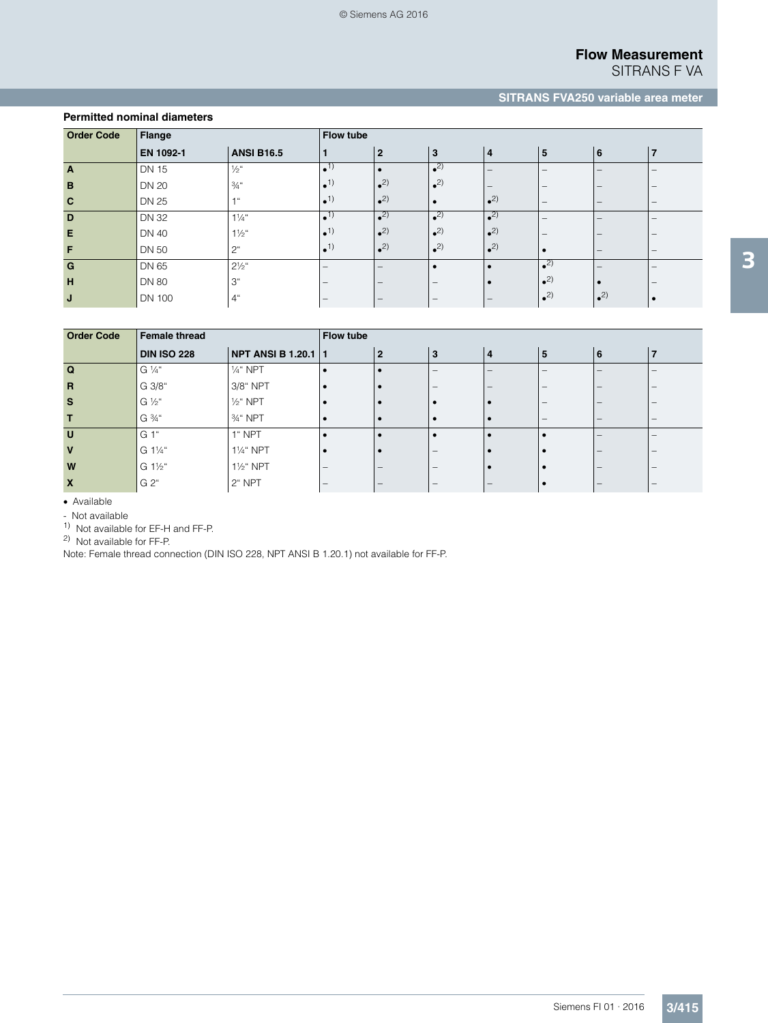SITRANS F VA

# **SITRANS FVA250 variable area meter**

| <b>Order Code</b> | Flange        |                   | <b>Flow tube</b>             |                         |                         |                            |                                 |                          |                                 |  |  |
|-------------------|---------------|-------------------|------------------------------|-------------------------|-------------------------|----------------------------|---------------------------------|--------------------------|---------------------------------|--|--|
|                   | EN 1092-1     | <b>ANSI B16.5</b> | $\blacksquare$               | $\overline{2}$          | 3                       | $\overline{4}$             | 5                               | 6                        | $\overline{7}$                  |  |  |
| $\overline{A}$    | <b>DN 15</b>  | $\frac{1}{2}$ "   | $\bullet$ <sup>1</sup>       |                         | $\bullet$ <sup>2)</sup> | $\qquad \qquad$            | $\hspace{0.1mm}-\hspace{0.1mm}$ |                          | $\qquad \qquad \blacksquare$    |  |  |
| B                 | <b>DN 20</b>  | $\frac{3}{4}$ "   | $\bullet$ <sup>1</sup>       | $\bullet$ <sup>2)</sup> | $\bullet$ <sup>2)</sup> | $\qquad \qquad$            | $\qquad \qquad \blacksquare$    |                          |                                 |  |  |
| $\mathbf{C}$      | <b>DN 25</b>  | $-1$ ii           | $\bullet$ <sup>1</sup>       | $2$                     |                         | $^{\bullet}$ <sup>2)</sup> | $\hspace{0.1mm}-\hspace{0.1mm}$ | $\overline{\phantom{0}}$ | $\qquad \qquad \blacksquare$    |  |  |
| D                 | <b>DN 32</b>  | $1\frac{1}{4}$ "  | $\bullet$ <sup>1)</sup>      | $2$                     | $\bullet$ <sup>2)</sup> | $^{\bullet}$ <sup>2)</sup> | $\overline{\phantom{m}}$        |                          |                                 |  |  |
| E                 | <b>DN 40</b>  | $1\frac{1}{2}$ "  | $\bullet$ <sup>1</sup>       | $2$                     | $2$                     | $2$                        | $\overline{\phantom{m}}$        |                          | $\qquad \qquad \blacksquare$    |  |  |
| F                 | <b>DN 50</b>  | 2 <sup>u</sup>    | $\bullet$ <sup>1</sup>       | $2$                     | $2$                     | $\bullet$ <sup>2)</sup>    |                                 |                          | $\hspace{0.1mm}-\hspace{0.1mm}$ |  |  |
| G                 | DN 65         | $2\frac{1}{2}$ "  | $\qquad \qquad -$            | –                       |                         |                            | $^{\bullet}$ <sup>2)</sup>      |                          | $\qquad \qquad \blacksquare$    |  |  |
| H                 | <b>DN 80</b>  | 3 <sup>"</sup>    |                              | –                       |                         |                            | $\bullet$ <sup>2)</sup>         |                          |                                 |  |  |
| J                 | <b>DN 100</b> | 4"                | $\qquad \qquad \blacksquare$ |                         |                         | $\qquad \qquad$            | $\bullet$ <sup>2)</sup>         | $\bullet$ <sup>2)</sup>  | ٠                               |  |  |

| <b>Order Code</b>         | <b>Female thread</b> | Flow tube              |                   |                |   |                 |                                 |     |                              |  |
|---------------------------|----------------------|------------------------|-------------------|----------------|---|-----------------|---------------------------------|-----|------------------------------|--|
|                           | <b>DIN ISO 228</b>   | NPT ANSI B 1.20.1   1  |                   | $\overline{2}$ | 3 | $\overline{4}$  | 5                               | l 6 |                              |  |
| $\mathbf Q$               | G 1/4"               | 1/ <sub>4</sub> " NPT  | . е               |                |   |                 | $\overline{\phantom{a}}$        |     |                              |  |
| $\overline{R}$            | G 3/8"               | 3/8" NPT               | $\bullet$         |                |   | $\qquad \qquad$ |                                 |     |                              |  |
| <b>S</b>                  | G 1/2"               | $1/2$ " NPT            | $\bullet$         |                |   |                 |                                 |     |                              |  |
| т                         | G 3/4"               | 3/ <sub>4</sub> " NPT  | $\bullet$         |                |   |                 | $\hspace{0.1mm}-\hspace{0.1mm}$ |     | $\overline{\phantom{0}}$     |  |
| $\mathbf{U}$              | G 1"                 | 1" NPT                 | $\bullet$         |                |   |                 |                                 |     |                              |  |
| $\mathbf{V}$              | G 11/4"              | 11/ <sub>4</sub> " NPT |                   |                |   |                 |                                 | -   | $\qquad \qquad \blacksquare$ |  |
| W                         | G 11/2"              | 11/ <sub>2</sub> " NPT | $\qquad \qquad -$ |                |   |                 |                                 |     |                              |  |
| $\boldsymbol{\mathsf{x}}$ | G 2"                 | 2" NPT                 | $\qquad \qquad -$ |                |   |                 |                                 |     | $\overline{\phantom{a}}$     |  |

Available

- Not available

1) Not available for EF-H and FF-P.

**Permitted nominal diameters**

2) Not available for FF-P.

Note: Female thread connection (DIN ISO 228, NPT ANSI B 1.20.1) not available for FF-P.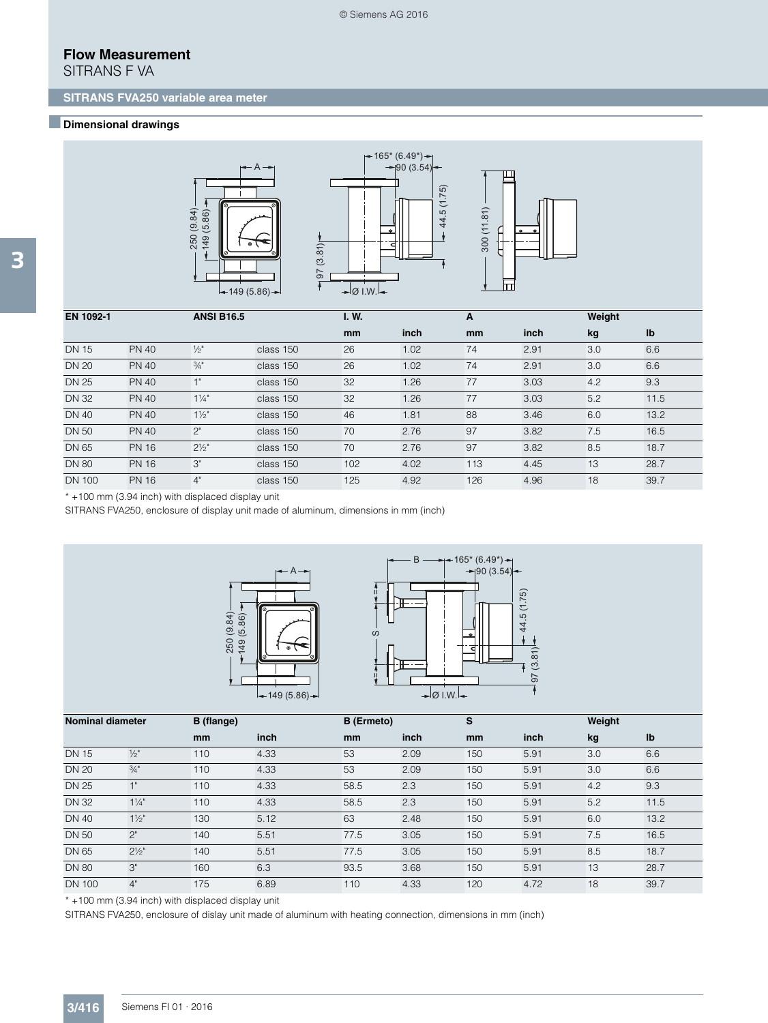SITRANS F VA

### ■**Dimensional drawings**





44.5 (1.75)



| EN 1092-1     |              | <b>ANSI B16.5</b> |           | I. W. |      | A   |      | Weight |      |
|---------------|--------------|-------------------|-----------|-------|------|-----|------|--------|------|
|               |              |                   |           | mm    | inch | mm  | inch | kg     | Ib   |
| <b>DN 15</b>  | <b>PN 40</b> | $\frac{1}{2}$     | class 150 | 26    | 1.02 | 74  | 2.91 | 3.0    | 6.6  |
| <b>DN 20</b>  | <b>PN 40</b> | $\frac{3}{4}$ "   | class 150 | 26    | 1.02 | 74  | 2.91 | 3.0    | 6.6  |
| <b>DN 25</b>  | <b>PN 40</b> | $-1$              | class 150 | 32    | 1.26 | 77  | 3.03 | 4.2    | 9.3  |
| <b>DN 32</b>  | <b>PN 40</b> | $1\frac{1}{4}$    | class 150 | 32    | 1.26 | 77  | 3.03 | 5.2    | 11.5 |
| <b>DN 40</b>  | <b>PN 40</b> | $1\frac{1}{2}$    | class 150 | 46    | 1.81 | 88  | 3.46 | 6.0    | 13.2 |
| <b>DN 50</b>  | <b>PN 40</b> | $2^"$             | class 150 | 70    | 2.76 | 97  | 3.82 | 7.5    | 16.5 |
| <b>DN 65</b>  | <b>PN 16</b> | $2\frac{1}{2}$    | class 150 | 70    | 2.76 | 97  | 3.82 | 8.5    | 18.7 |
| <b>DN 80</b>  | <b>PN 16</b> | 3"                | class 150 | 102   | 4.02 | 113 | 4.45 | 13     | 28.7 |
| <b>DN 100</b> | <b>PN 16</b> | 4"                | class 150 | 125   | 4.92 | 126 | 4.96 | 18     | 39.7 |

\* +100 mm (3.94 inch) with displaced display unit

SITRANS FVA250, enclosure of display unit made of aluminum, dimensions in mm (inch)





| <b>Nominal diameter</b> |                 | B (flange) |      | <b>B</b> (Ermeto) |      | S   |      | Weight |      |
|-------------------------|-----------------|------------|------|-------------------|------|-----|------|--------|------|
|                         |                 | mm         | inch | <sub>mm</sub>     | inch | mm  | inch | kg     | Ib   |
| <b>DN 15</b>            | $\frac{1}{2}$ " | 110        | 4.33 | 53                | 2.09 | 150 | 5.91 | 3.0    | 6.6  |
| <b>DN 20</b>            | $\frac{3}{4}$ " | 110        | 4.33 | 53                | 2.09 | 150 | 5.91 | 3.0    | 6.6  |
| <b>DN 25</b>            | 1"              | 110        | 4.33 | 58.5              | 2.3  | 150 | 5.91 | 4.2    | 9.3  |
| <b>DN 32</b>            | $1\frac{1}{4}$  | 110        | 4.33 | 58.5              | 2.3  | 150 | 5.91 | 5.2    | 11.5 |
| <b>DN 40</b>            | $1\frac{1}{2}$  | 130        | 5.12 | 63                | 2.48 | 150 | 5.91 | 6.0    | 13.2 |
| <b>DN 50</b>            | 2"              | 140        | 5.51 | 77.5              | 3.05 | 150 | 5.91 | 7.5    | 16.5 |
| <b>DN 65</b>            | $2\frac{1}{2}$  | 140        | 5.51 | 77.5              | 3.05 | 150 | 5.91 | 8.5    | 18.7 |
| <b>DN 80</b>            | 3"              | 160        | 6.3  | 93.5              | 3.68 | 150 | 5.91 | 13     | 28.7 |
| <b>DN 100</b>           | 4"              | 175        | 6.89 | 110               | 4.33 | 120 | 4.72 | 18     | 39.7 |

\* +100 mm (3.94 inch) with displaced display unit

SITRANS FVA250, enclosure of dislay unit made of aluminum with heating connection, dimensions in mm (inch)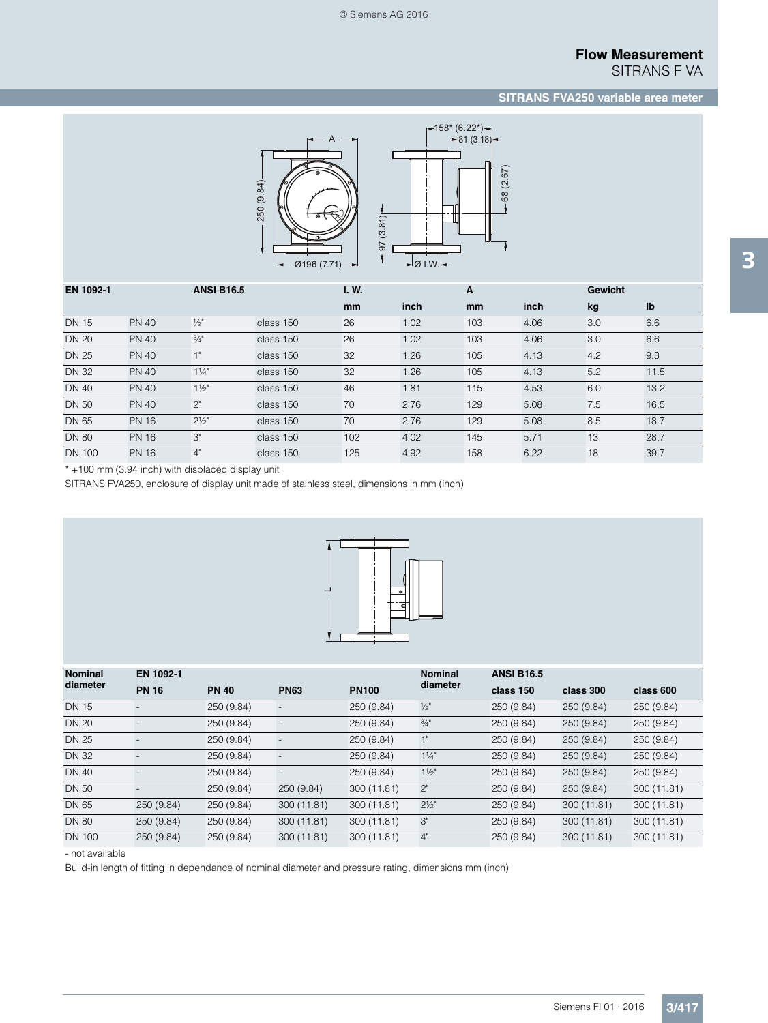SITRANS F VA

## **SITRANS FVA250 variable area meter**



| EN 1092-1    |              | <b>ANSI B16.5</b> |           | I.W. |      | A             |      | <b>Gewicht</b> |      |
|--------------|--------------|-------------------|-----------|------|------|---------------|------|----------------|------|
|              |              |                   |           | mm   | inch | <sub>mm</sub> | inch | kg             | Ib   |
| <b>DN 15</b> | <b>PN 40</b> | $\frac{1}{2}$ "   | class 150 | 26   | 1.02 | 103           | 4.06 | 3.0            | 6.6  |
| <b>DN 20</b> | <b>PN 40</b> | 3/4"              | class 150 | 26   | 1.02 | 103           | 4.06 | 3.0            | 6.6  |
| <b>DN 25</b> | <b>PN 40</b> | 1"                | class 150 | 32   | 1.26 | 105           | 4.13 | 4.2            | 9.3  |
| <b>DN 32</b> | <b>PN 40</b> | $1\frac{1}{4}$    | class 150 | 32   | 1.26 | 105           | 4.13 | 5.2            | 11.5 |
| <b>DN 40</b> | <b>PN 40</b> | $1\frac{1}{2}$    | class 150 | 46   | 1.81 | 115           | 4.53 | 6.0            | 13.2 |
| <b>DN 50</b> | <b>PN 40</b> | 2"                | class 150 | 70   | 2.76 | 129           | 5.08 | 7.5            | 16.5 |
| <b>DN 65</b> | <b>PN 16</b> | $2\frac{1}{2}$    | class 150 | 70   | 2.76 | 129           | 5.08 | 8.5            | 18.7 |
| <b>DN 80</b> | <b>PN 16</b> | 3"                | class 150 | 102  | 4.02 | 145           | 5.71 | 13             | 28.7 |
| DN 100       | <b>PN 16</b> | 4"                | class 150 | 125  | 4.92 | 158           | 6.22 | 18             | 39.7 |

\* +100 mm (3.94 inch) with displaced display unit

SITRANS FVA250, enclosure of display unit made of stainless steel, dimensions in mm (inch)



| <b>Nominal</b> | EN 1092-1         |              |                          |              | <b>Nominal</b>   | <b>ANSI B16.5</b> |             |             |  |
|----------------|-------------------|--------------|--------------------------|--------------|------------------|-------------------|-------------|-------------|--|
| diameter       | <b>PN 16</b>      | <b>PN 40</b> | <b>PN63</b>              | <b>PN100</b> | diameter         | class 150         | class 300   | class 600   |  |
| <b>DN 15</b>   |                   | 250 (9.84)   |                          | 250 (9.84)   | $\frac{1}{2}$ "  | 250 (9.84)        | 250 (9.84)  | 250 (9.84)  |  |
| <b>DN 20</b>   |                   | 250 (9.84)   |                          | 250 (9.84)   | $\frac{3}{4}$ "  | 250 (9.84)        | 250 (9.84)  | 250 (9.84)  |  |
| <b>DN 25</b>   |                   | 250 (9.84)   | $\overline{\phantom{a}}$ | 250 (9.84)   | 1"               | 250(9.84)         | 250(9.84)   | 250 (9.84)  |  |
| <b>DN 32</b>   |                   | 250 (9.84)   |                          | 250 (9.84)   | $1\frac{1}{4}$   | 250(9.84)         | 250 (9.84)  | 250 (9.84)  |  |
| <b>DN 40</b>   |                   | 250 (9.84)   |                          | 250 (9.84)   | $1\frac{1}{2}$   | 250(9.84)         | 250 (9.84)  | 250 (9.84)  |  |
| <b>DN 50</b>   | $\qquad \qquad -$ | 250 (9.84)   | 250 (9.84)               | 300 (11.81)  | 2"               | 250 (9.84)        | 250 (9.84)  | 300 (11.81) |  |
| DN 65          | 250 (9.84)        | 250(9.84)    | 300 (11.81)              | 300 (11.81)  | $2\frac{1}{2}$ " | 250(9.84)         | 300 (11.81) | 300 (11.81) |  |
| <b>DN 80</b>   | 250 (9.84)        | 250(9.84)    | 300 (11.81)              | 300 (11.81)  | 3"               | 250 (9.84)        | 300 (11.81) | 300 (11.81) |  |
| <b>DN 100</b>  | 250 (9.84)        | 250(9.84)    | 300 (11.81)              | 300 (11.81)  | 4"               | 250 (9.84)        | 300 (11.81) | 300 (11.81) |  |

- not available

Build-in length of fitting in dependance of nominal diameter and pressure rating, dimensions mm (inch)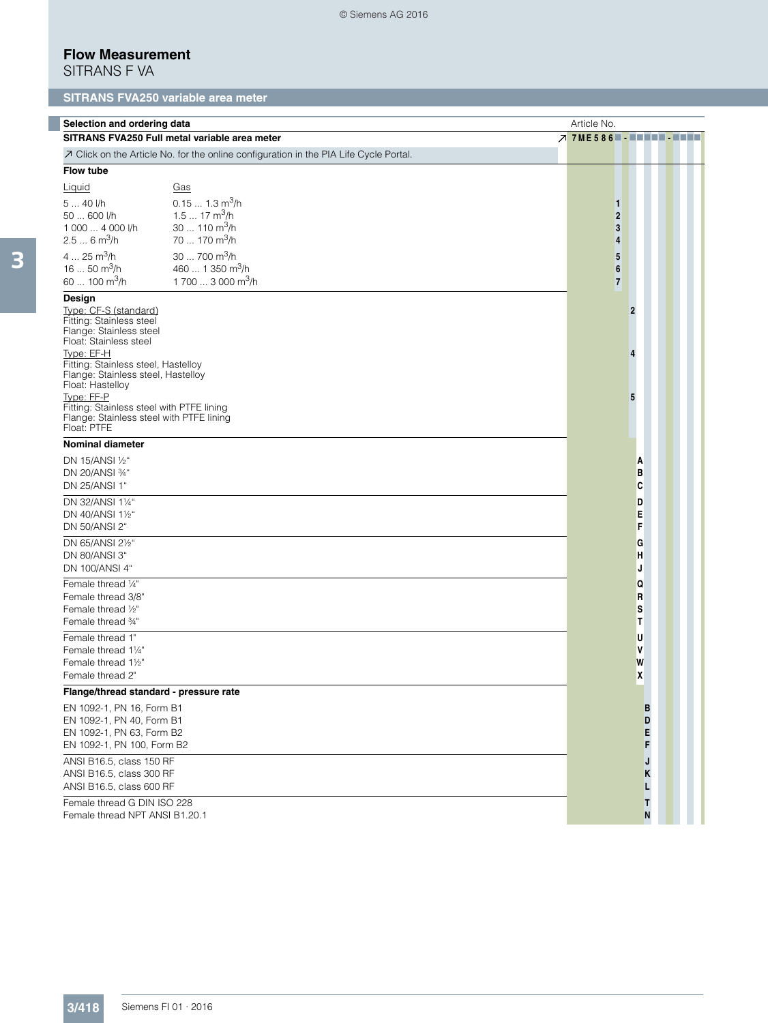© Siemens AG 2016

## **Flow Measurement**

SITRANS F VA

# **SITRANS FVA250 variable area meter**

| Selection and ordering data                                                                                                                                                                                                                                                                                                                           | Article No.                                                                                                        |                               |                          |  |
|-------------------------------------------------------------------------------------------------------------------------------------------------------------------------------------------------------------------------------------------------------------------------------------------------------------------------------------------------------|--------------------------------------------------------------------------------------------------------------------|-------------------------------|--------------------------|--|
|                                                                                                                                                                                                                                                                                                                                                       | SITRANS FVA250 Full metal variable area meter                                                                      | $7$ 7ME586 $\blacksquare$     |                          |  |
|                                                                                                                                                                                                                                                                                                                                                       | A Click on the Article No. for the online configuration in the PIA Life Cycle Portal.                              |                               |                          |  |
| <b>Flow tube</b>                                                                                                                                                                                                                                                                                                                                      |                                                                                                                    |                               |                          |  |
| Liquid<br>5  40 l/h<br>50  600 l/h<br>1 000  4 000 l/h<br>$2.56$ m <sup>3</sup> /h                                                                                                                                                                                                                                                                    | Gas<br>$0.151.3 \text{ m}^3/\text{h}$<br>1.5  17 m <sup>3</sup> /h<br>30  110 $\mathrm{m}^3$ /h<br>70  170 $m^3/h$ | 1<br>$\overline{2}$<br>3<br>4 |                          |  |
| $425 \text{ m}^3/h$<br>16  50 $\mathrm{m}^3$ /h<br>60  100 $\mathrm{m}^3$ /h                                                                                                                                                                                                                                                                          | $30700 \text{ m}^3/h$<br>460  1 350 m <sup>3</sup> /h<br>1 700  3 000 m <sup>3</sup> /h                            | 5<br>6<br>$\overline{7}$      |                          |  |
| Design<br>Type: CF-S (standard)<br>Fitting: Stainless steel<br>Flange: Stainless steel<br>Float: Stainless steel<br>Type: EF-H<br>Fitting: Stainless steel, Hastelloy<br>Flange: Stainless steel, Hastelloy<br>Float: Hastelloy<br>Type: FF-P<br>Fitting: Stainless steel with PTFE lining<br>Flange: Stainless steel with PTFE lining<br>Float: PTFE |                                                                                                                    |                               | $\overline{2}$<br>4<br>5 |  |
| <b>Nominal diameter</b>                                                                                                                                                                                                                                                                                                                               |                                                                                                                    |                               |                          |  |
| DN 15/ANSI 1/2"<br>DN 20/ANSI 34"<br>DN 25/ANSI 1"                                                                                                                                                                                                                                                                                                    |                                                                                                                    |                               | A<br>в<br>C              |  |
| DN 32/ANSI 11/4"<br>DN 40/ANSI 11/2"<br>DN 50/ANSI 2"                                                                                                                                                                                                                                                                                                 |                                                                                                                    |                               | D<br>Е<br>F              |  |
| DN 65/ANSI 21/2"<br>DN 80/ANSI 3"<br>DN 100/ANSI 4"                                                                                                                                                                                                                                                                                                   |                                                                                                                    |                               | G<br>H<br>J              |  |
| Female thread 1/4"<br>Female thread 3/8"<br>Female thread 1/2"<br>Female thread 3/4"                                                                                                                                                                                                                                                                  |                                                                                                                    |                               | Q<br>R<br>s<br>Т         |  |
| Female thread 1"<br>Female thread 11/4"<br>Female thread 11/2"<br>Female thread 2"                                                                                                                                                                                                                                                                    |                                                                                                                    |                               | U<br>٧<br>W<br>χ         |  |
| Flange/thread standard - pressure rate                                                                                                                                                                                                                                                                                                                |                                                                                                                    |                               |                          |  |
| EN 1092-1, PN 16, Form B1<br>EN 1092-1, PN 40, Form B1<br>EN 1092-1, PN 63, Form B2<br>EN 1092-1, PN 100, Form B2                                                                                                                                                                                                                                     |                                                                                                                    |                               | B<br>D<br>E<br>F         |  |
| ANSI B16.5, class 150 RF<br>ANSI B16.5, class 300 RF<br>ANSI B16.5, class 600 RF<br>Female thread G DIN ISO 228                                                                                                                                                                                                                                       |                                                                                                                    |                               | J<br>Κ<br>г<br>T         |  |
| Female thread NPT ANSI B1.20.1                                                                                                                                                                                                                                                                                                                        |                                                                                                                    |                               | N                        |  |

l.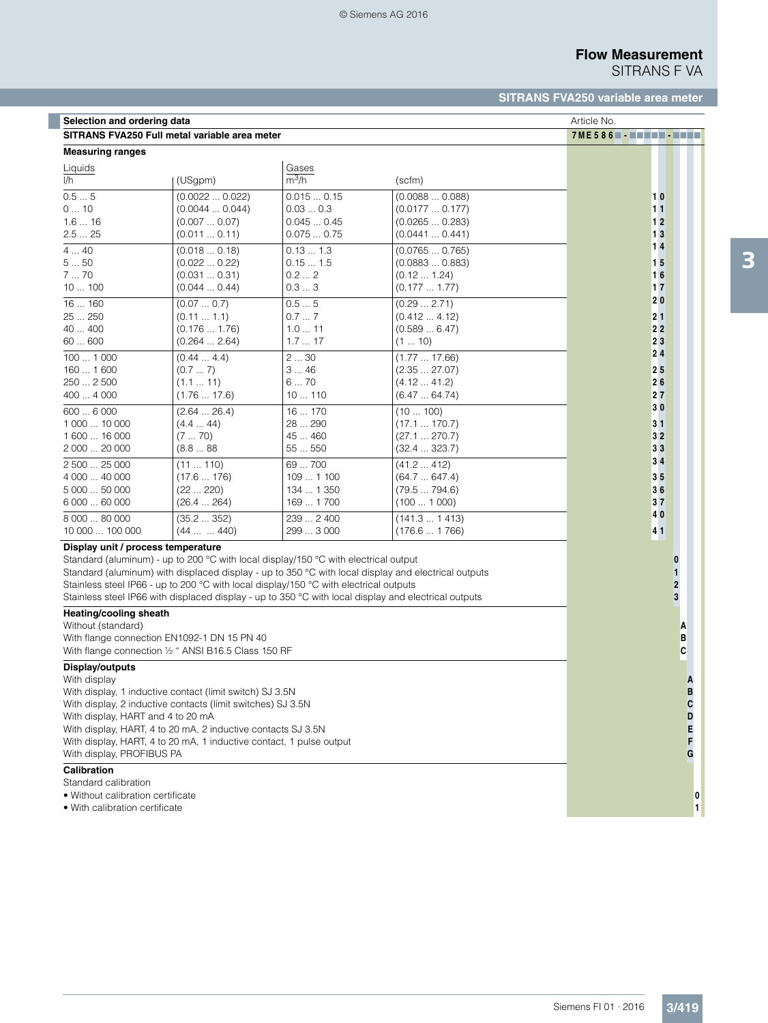$\overline{\phantom{a}}$ 

# **Flow Measurement**

SITRANS F VA

## **SITRANS FVA250 variable area meter**

| Selection and ordering data                 | Article No.                                                                                          |            |               |                                        |
|---------------------------------------------|------------------------------------------------------------------------------------------------------|------------|---------------|----------------------------------------|
|                                             | SITRANS FVA250 Full metal variable area meter                                                        |            |               | $7ME586$ $\blacksquare$ $\blacksquare$ |
| <b>Measuring ranges</b>                     |                                                                                                      |            |               |                                        |
| Liquids                                     |                                                                                                      | Gases      |               |                                        |
| I/h                                         | (USgpm)                                                                                              | $m^3/h$    | (scfm)        |                                        |
| 0.55                                        | (0.00220.022)                                                                                        | 0.0150.15  | (0.00880.088) | 10                                     |
| 010                                         | (0.00440.044)                                                                                        | 0.030.3    | (0.01770.177) | 11                                     |
| 1.616                                       | (0.0070.07)                                                                                          | 0.0450.45  | (0.02650.283) | 12                                     |
| 2.525                                       | (0.011  0.11)                                                                                        | 0.0750.75  | (0.04410.441) | 13                                     |
| $\overline{4}$ 40                           | (0.0180.18)                                                                                          | 0.131.3    | (0.07650.765) | 14                                     |
| 550                                         | (0.0220.22)                                                                                          | 0.151.5    | (0.08830.883) | 15                                     |
| 770                                         | (0.0310.31)                                                                                          | 0.22       | (0.12 1.24)   | 16                                     |
| 10100                                       | (0.0440.44)                                                                                          | 0.33       | (0.177 1.77)  | 17                                     |
| 16160                                       | (0.070.7)                                                                                            | 0.55       | (0.29 2.71)   | 20                                     |
| 25  250                                     | (0.111.1)                                                                                            | 0.77       | (0.412 4.12)  | 21                                     |
| 40  400                                     | (0.176 1.76)                                                                                         | 1.011      | (0.5896.47)   | 22                                     |
| 60600                                       | (0.264  2.64)                                                                                        | 1.717      | (110)         | 23                                     |
| 1001000                                     | (0.444.4)                                                                                            | 230        | (1.77 17.66)  | 24                                     |
| 160  1600                                   | (0.77)                                                                                               | 346        | (2.3527.07)   | 25                                     |
| 250  2 500                                  | (1.111)                                                                                              | 670        | (4.1241.2)    | 26                                     |
| 400  4 000                                  | (1.76 17.6)                                                                                          | 10110      | (6.4764.74)   | 27                                     |
| 6006000                                     | (2.6426.4)                                                                                           | 16  170    | (10100)       | 30                                     |
| 1 000  10 000                               | (4.444)                                                                                              | 28  290    | (17.1170.7)   | 31                                     |
| 1600  16 000                                | (770)                                                                                                | 45  460    | (27.1270.7)   | 32                                     |
| 2 000  20 000                               | (8.888)                                                                                              | 55550      | (32.4323.7)   | 33                                     |
| 2 500  25 000                               | (11110)                                                                                              | 69  700    | (41.2412)     | 34                                     |
| 4 000  40 000                               | (17.6176)                                                                                            | 109  1 100 | (64.7647.4)   | 35                                     |
| 5 000  50 000                               | (22 220)                                                                                             | 134  1 350 | (79.5794.6)   | 36                                     |
| 6 000  60 000                               | (26.4264)                                                                                            | 169  1700  | (1001000)     | 37                                     |
| 8 000  80 000                               | (35.2352)                                                                                            | 239  2 400 | (141.31413)   | 40                                     |
| 10 000  100 000                             | (44  440)                                                                                            | 299  3 000 | (176.61766)   | 41                                     |
| Display unit / process temperature          |                                                                                                      |            |               |                                        |
|                                             | Standard (aluminum) - up to 200 °C with local display/150 °C with electrical output                  |            |               |                                        |
|                                             | Standard (aluminum) with displaced display - up to 350 °C with local display and electrical outputs  |            |               |                                        |
|                                             | Stainless steel IP66 - up to 200 °C with local display/150 °C with electrical outputs                |            |               | $\overline{2}$                         |
|                                             | Stainless steel IP66 with displaced display - up to 350 °C with local display and electrical outputs |            |               | 3                                      |
| Heating/cooling sheath                      |                                                                                                      |            |               |                                        |
| Without (standard)                          |                                                                                                      |            |               | А                                      |
| With flange connection EN1092-1 DN 15 PN 40 |                                                                                                      |            |               | в                                      |
|                                             | With flange connection 1/2 " ANSI B16.5 Class 150 RF                                                 |            |               | C                                      |
| Display/outputs                             |                                                                                                      |            |               |                                        |
| With display                                |                                                                                                      |            |               | A                                      |
|                                             | With display, 1 inductive contact (limit switch) SJ 3.5N                                             |            |               | D                                      |
|                                             | With display, 2 inductive contacts (limit switches) SJ 3.5N                                          |            |               | C                                      |
| With display, HART and 4 to 20 mA           |                                                                                                      |            |               | D                                      |
|                                             | With display, HART, 4 to 20 mA, 2 inductive contacts SJ 3.5N                                         |            |               | E                                      |
|                                             | With display, HART, 4 to 20 mA, 1 inductive contact, 1 pulse output                                  |            |               |                                        |
| With display, PROFIBUS PA                   |                                                                                                      |            |               | G                                      |
| <b>Calibration</b>                          |                                                                                                      |            |               |                                        |
| Standard calibration                        |                                                                                                      |            |               |                                        |
| • Without calibration certificate           |                                                                                                      |            |               |                                        |
| • With calibration certificate              |                                                                                                      |            |               | 1                                      |